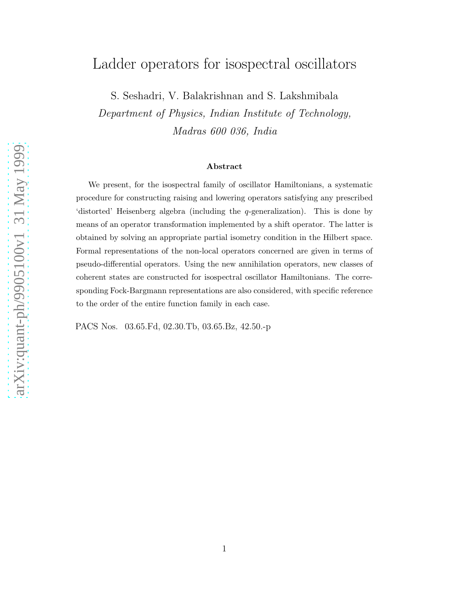# Ladder operators for isospectral oscillators

S. Seshadri, V. Balakrishnan and S. Lakshmibala Department of Physics, Indian Institute of Technology, Madras 600 036, India

#### Abstract

We present, for the isospectral family of oscillator Hamiltonians, a systematic procedure for constructing raising and lowering operators satisfying any prescribed 'distorted' Heisenberg algebra (including the q-generalization). This is done by means of an operator transformation implemented by a shift operator. The latter is obtained by solving an appropriate partial isometry condition in the Hilbert space. Formal representations of the non-local operators concerned are given in terms of pseudo-differential operators. Using the new annihilation operators, new classes of coherent states are constructed for isospectral oscillator Hamiltonians. The corresponding Fock-Bargmann representations are also considered, with specific reference to the order of the entire function family in each case.

PACS Nos. 03.65.Fd, 02.30.Tb, 03.65.Bz, 42.50.-p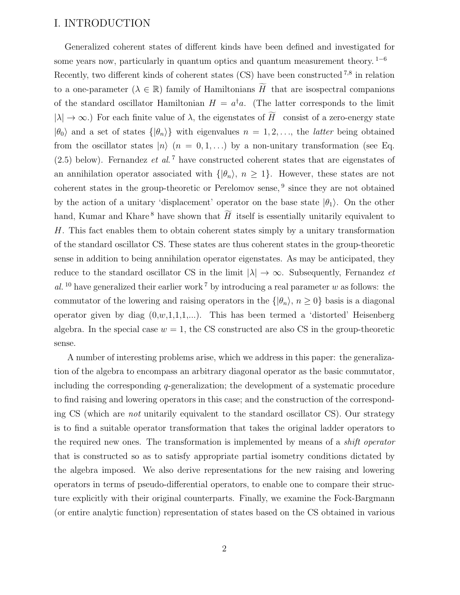#### I. INTRODUCTION

Generalized coherent states of different kinds have been defined and investigated for some years now, particularly in quantum optics and quantum measurement theory.  $1-6$ Recently, two different kinds of coherent states (CS) have been constructed <sup>7,8</sup> in relation to a one-parameter ( $\lambda \in \mathbb{R}$ ) family of Hamiltonians  $\widetilde{H}$  that are isospectral companions of the standard oscillator Hamiltonian  $H = a^{\dagger} a$ . (The latter corresponds to the limit  $|\lambda| \to \infty$ .) For each finite value of  $\lambda$ , the eigenstates of  $\widetilde{H}$  consist of a zero-energy state  $|\theta_0\rangle$  and a set of states  $\{|\theta_n\rangle\}$  with eigenvalues  $n = 1, 2, \ldots$ , the *latter* being obtained from the oscillator states  $|n\rangle$   $(n = 0, 1, ...)$  by a non-unitary transformation (see Eq.  $(2.5)$  below). Fernandez *et al.*<sup>7</sup> have constructed coherent states that are eigenstates of an annihilation operator associated with  $\{|\theta_n\rangle, n \geq 1\}$ . However, these states are not coherent states in the group-theoretic or Perelomov sense, <sup>9</sup> since they are not obtained by the action of a unitary 'displacement' operator on the base state  $|\theta_1\rangle$ . On the other hand, Kumar and Khare<sup>8</sup> have shown that  $\widetilde{H}$  itself is essentially unitarily equivalent to H. This fact enables them to obtain coherent states simply by a unitary transformation of the standard oscillator CS. These states are thus coherent states in the group-theoretic sense in addition to being annihilation operator eigenstates. As may be anticipated, they reduce to the standard oscillator CS in the limit  $|\lambda| \to \infty$ . Subsequently, Fernandez *et* al. <sup>10</sup> have generalized their earlier work<sup>7</sup> by introducing a real parameter w as follows: the commutator of the lowering and raising operators in the  $\{|\theta_n\rangle, n \geq 0\}$  basis is a diagonal operator given by diag  $(0,w,1,1,1,...)$ . This has been termed a 'distorted' Heisenberg algebra. In the special case  $w = 1$ , the CS constructed are also CS in the group-theoretic sense.

A number of interesting problems arise, which we address in this paper: the generalization of the algebra to encompass an arbitrary diagonal operator as the basic commutator, including the corresponding q-generalization; the development of a systematic procedure to find raising and lowering operators in this case; and the construction of the corresponding CS (which are not unitarily equivalent to the standard oscillator CS). Our strategy is to find a suitable operator transformation that takes the original ladder operators to the required new ones. The transformation is implemented by means of a shift operator that is constructed so as to satisfy appropriate partial isometry conditions dictated by the algebra imposed. We also derive representations for the new raising and lowering operators in terms of pseudo-differential operators, to enable one to compare their structure explicitly with their original counterparts. Finally, we examine the Fock-Bargmann (or entire analytic function) representation of states based on the CS obtained in various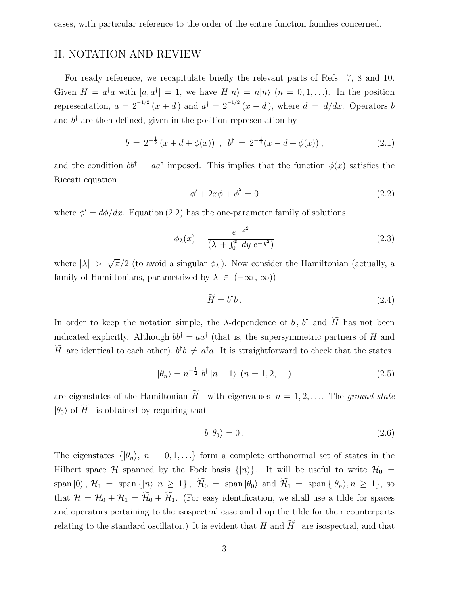cases, with particular reference to the order of the entire function families concerned.

#### II. NOTATION AND REVIEW

For ready reference, we recapitulate briefly the relevant parts of Refs. 7, 8 and 10. Given  $H = a^{\dagger} a$  with  $[a, a^{\dagger}] = 1$ , we have  $H|n\rangle = n|n\rangle$   $(n = 0, 1, \ldots)$ . In the position representation,  $a = 2^{-1/2} (x + d)$  and  $a^{\dagger} = 2^{-1/2} (x - d)$ , where  $d = d/dx$ . Operators b and  $b^{\dagger}$  are then defined, given in the position representation by

$$
b = 2^{-\frac{1}{2}}(x + d + \phi(x)), \quad b^{\dagger} = 2^{-\frac{1}{2}}(x - d + \phi(x)), \tag{2.1}
$$

and the condition  $bb^{\dagger} = aa^{\dagger}$  imposed. This implies that the function  $\phi(x)$  satisfies the Riccati equation

$$
\phi' + 2x\phi + \phi^2 = 0\tag{2.2}
$$

where  $\phi' = d\phi/dx$ . Equation (2.2) has the one-parameter family of solutions

$$
\phi_{\lambda}(x) = \frac{e^{-x^2}}{(\lambda + \int_0^x dy \ e^{-y^2})}
$$
\n(2.3)

where  $|\lambda| > \sqrt{\pi}/2$  (to avoid a singular  $\phi_{\lambda}$ ). Now consider the Hamiltonian (actually, a family of Hamiltonians, parametrized by  $\lambda \in (-\infty, \infty)$ )

$$
\widetilde{H} = b^{\dagger}b. \tag{2.4}
$$

In order to keep the notation simple, the  $\lambda$ -dependence of b,  $b^{\dagger}$  and  $\widetilde{H}$  has not been indicated explicitly. Although  $bb^{\dagger} = aa^{\dagger}$  (that is, the supersymmetric partners of H and  $\hat{H}$  are identical to each other),  $b^{\dagger}b \neq a^{\dagger}a$ . It is straightforward to check that the states

$$
|\theta_n\rangle = n^{-\frac{1}{2}} b^{\dagger} |n-1\rangle \quad (n=1,2,\ldots)
$$
 (2.5)

are eigenstates of the Hamiltonian  $\widetilde{H}$  with eigenvalues  $n = 1, 2, \ldots$  The ground state  $|\theta_0\rangle$  of  $\widetilde{H}$  is obtained by requiring that

$$
b|\theta_0\rangle = 0.
$$
 (2.6)

The eigenstates  $\{\vert \theta_n \rangle, n = 0, 1, \ldots\}$  form a complete orthonormal set of states in the Hilbert space H spanned by the Fock basis  $\{|n\rangle\}$ . It will be useful to write  $\mathcal{H}_0$  =  $\text{span}\left|0\right\rangle, \mathcal{H}_1 = \text{span}\left\{|n\rangle, n \geq 1\right\}, \ \widetilde{\mathcal{H}}_0 = \text{span}\left|\theta_0\right\rangle \text{ and } \widetilde{\mathcal{H}}_1 = \text{span}\left\{| \theta_n \rangle, n \geq 1\right\}, \text{ so}$ that  $\mathcal{H} = \mathcal{H}_0 + \mathcal{H}_1 = \widetilde{\mathcal{H}}_0 + \widetilde{\mathcal{H}}_1$ . (For easy identification, we shall use a tilde for spaces and operators pertaining to the isospectral case and drop the tilde for their counterparts relating to the standard oscillator.) It is evident that H and  $\widetilde{H}$  are isospectral, and that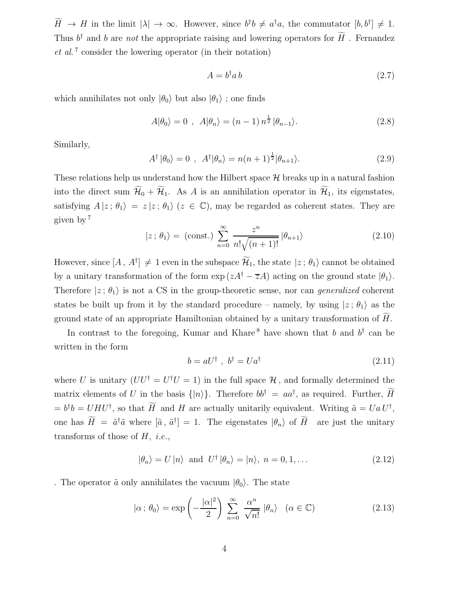$H \to H$  in the limit  $|\lambda| \to \infty$ . However, since  $b^{\dagger}b \neq a^{\dagger}a$ , the commutator  $[b, b^{\dagger}] \neq 1$ . Thus  $b^{\dagger}$  and b are not the appropriate raising and lowering operators for  $H$ . Fernandez et al. 7 consider the lowering operator (in their notation)

$$
A = b^{\dagger} a b \tag{2.7}
$$

which annihilates not only  $|\theta_0\rangle$  but also  $|\theta_1\rangle$ ; one finds

$$
A|\theta_0\rangle = 0 \, , \, A|\theta_n\rangle = (n-1) n^{\frac{1}{2}} |\theta_{n-1}\rangle. \tag{2.8}
$$

Similarly,

$$
A^{\dagger} |\theta_0\rangle = 0 , A^{\dagger} |\theta_n\rangle = n(n+1)^{\frac{1}{2}} |\theta_{n+1}\rangle.
$$
 (2.9)

These relations help us understand how the Hilbert space  $\mathcal H$  breaks up in a natural fashion into the direct sum  $\widetilde{\mathcal{H}}_0 + \widetilde{\mathcal{H}}_1$ . As A is an annihilation operator in  $\widetilde{\mathcal{H}}_1$ , its eigenstates, satisfying  $A |z; \theta_1\rangle = z |z; \theta_1\rangle$  ( $z \in \mathbb{C}$ ), may be regarded as coherent states. They are given by <sup>7</sup>

$$
|z \,;\, \theta_1 \rangle = \text{(const.)} \sum_{n=0}^{\infty} \frac{z^n}{n! \sqrt{(n+1)!}} |\theta_{n+1} \rangle \tag{2.10}
$$

However, since  $[A, A^{\dagger}] \neq 1$  even in the subspace  $\mathcal{H}_1$ , the state  $|z; \theta_1\rangle$  cannot be obtained by a unitary transformation of the form  $\exp(zA^{\dagger} - \overline{z}A)$  acting on the ground state  $|\theta_1\rangle$ . Therefore  $|z; \theta_1\rangle$  is not a CS in the group-theoretic sense, nor can *generalized* coherent states be built up from it by the standard procedure – namely, by using  $|z; \theta_1\rangle$  as the ground state of an appropriate Hamiltonian obtained by a unitary transformation of  $H$ .

In contrast to the foregoing, Kumar and Khare<sup>8</sup> have shown that b and  $b^{\dagger}$  can be written in the form

$$
b = aU^{\dagger} , b^{\dagger} = Ua^{\dagger}
$$
 (2.11)

where U is unitary  $(UU^{\dagger} = U^{\dagger}U = 1)$  in the full space  $\mathcal{H}$ , and formally determined the matrix elements of U in the basis  $\{|n\rangle\}$ . Therefore  $bb^{\dagger} = aa^{\dagger}$ , as required. Further,  $\tilde{H}$  $= b^{\dagger}b = UHU^{\dagger}$ , so that  $\widetilde{H}$  and  $H$  are actually unitarily equivalent. Writing  $\widetilde{a} = Ua U^{\dagger}$ , one has  $\tilde{H} = \tilde{a}^{\dagger} \tilde{a}$  where  $[\tilde{a}, \tilde{a}^{\dagger}] = 1$ . The eigenstates  $|\theta_n\rangle$  of  $\tilde{H}$  are just the unitary transforms of those of  $H$ , *i.e.*,

$$
|\theta_n\rangle = U |n\rangle \text{ and } U^{\dagger} |\theta_n\rangle = |n\rangle, n = 0, 1, \dots
$$
 (2.12)

. The operator  $\tilde{a}$  only annihilates the vacuum  $|\theta_0\rangle$ . The state

$$
|\alpha; \theta_0\rangle = \exp\left(-\frac{|\alpha|^2}{2}\right) \sum_{n=0}^{\infty} \frac{\alpha^n}{\sqrt{n!}} |\theta_n\rangle \quad (\alpha \in \mathbb{C})
$$
 (2.13)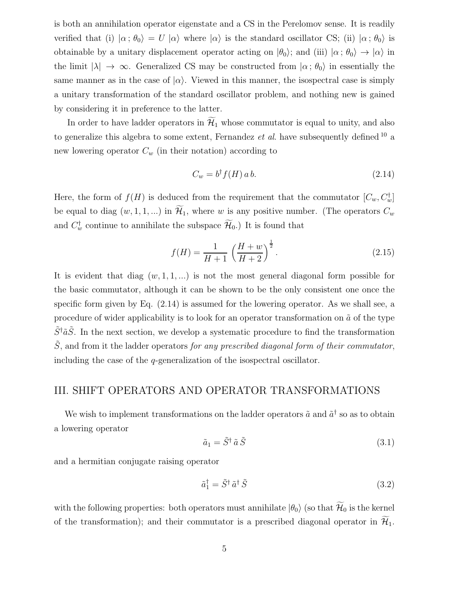is both an annihilation operator eigenstate and a CS in the Perelomov sense. It is readily verified that (i)  $|\alpha; \theta_0\rangle = U |\alpha\rangle$  where  $|\alpha\rangle$  is the standard oscillator CS; (ii)  $|\alpha; \theta_0\rangle$  is obtainable by a unitary displacement operator acting on  $|\theta_0\rangle$ ; and (iii)  $|\alpha; \theta_0\rangle \rightarrow |\alpha\rangle$  in the limit  $|\lambda| \to \infty$ . Generalized CS may be constructed from  $|\alpha; \theta_0\rangle$  in essentially the same manner as in the case of  $|\alpha\rangle$ . Viewed in this manner, the isospectral case is simply a unitary transformation of the standard oscillator problem, and nothing new is gained by considering it in preference to the latter.

In order to have ladder operators in  $\widetilde{\mathcal{H}}_1$  whose commutator is equal to unity, and also to generalize this algebra to some extent, Fernandez *et al.* have subsequently defined  $10$  a new lowering operator  $C_w$  (in their notation) according to

$$
C_w = b^{\dagger} f(H) \, a \, b. \tag{2.14}
$$

Here, the form of  $f(H)$  is deduced from the requirement that the commutator  $[C_w, C_w^{\dagger}]$ be equal to diag  $(w, 1, 1, ...)$  in  $\widetilde{\mathcal{H}}_1$ , where w is any positive number. (The operators  $C_w$ and  $C_w^{\dagger}$  continue to annihilate the subspace  $\mathcal{H}_0$ .) It is found that

$$
f(H) = \frac{1}{H+1} \left(\frac{H+w}{H+2}\right)^{\frac{1}{2}}.
$$
 (2.15)

It is evident that diag  $(w, 1, 1, ...)$  is not the most general diagonal form possible for the basic commutator, although it can be shown to be the only consistent one once the specific form given by Eq.  $(2.14)$  is assumed for the lowering operator. As we shall see, a procedure of wider applicability is to look for an operator transformation on  $\tilde{a}$  of the type  $\tilde{S}^{\dagger} \tilde{a} \tilde{S}$ . In the next section, we develop a systematic procedure to find the transformation  $\tilde{S}$ , and from it the ladder operators for any prescribed diagonal form of their commutator, including the case of the q-generalization of the isospectral oscillator.

#### III. SHIFT OPERATORS AND OPERATOR TRANSFORMATIONS

We wish to implement transformations on the ladder operators  $\tilde{a}$  and  $\tilde{a}^{\dagger}$  so as to obtain a lowering operator

$$
\tilde{a}_1 = \tilde{S}^\dagger \tilde{a} \tilde{S} \tag{3.1}
$$

and a hermitian conjugate raising operator

$$
\tilde{a}_1^\dagger = \tilde{S}^\dagger \,\tilde{a}^\dagger \,\tilde{S} \tag{3.2}
$$

with the following properties: both operators must annihilate  $|\theta_0\rangle$  (so that  $\widetilde{\mathcal{H}}_0$  is the kernel of the transformation); and their commutator is a prescribed diagonal operator in  $\widetilde{\mathcal{H}}_1$ .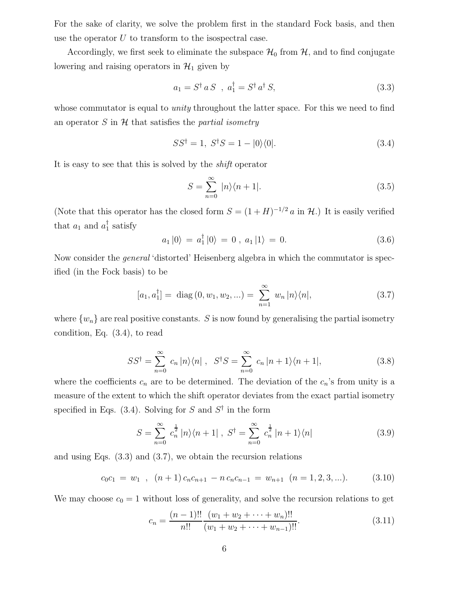For the sake of clarity, we solve the problem first in the standard Fock basis, and then use the operator  $U$  to transform to the isospectral case.

Accordingly, we first seek to eliminate the subspace  $\mathcal{H}_0$  from  $\mathcal{H}$ , and to find conjugate lowering and raising operators in  $\mathcal{H}_1$  given by

$$
a_1 = S^\dagger a S \, , \, a_1^\dagger = S^\dagger a^\dagger S, \tag{3.3}
$$

whose commutator is equal to *unity* throughout the latter space. For this we need to find an operator S in  $H$  that satisfies the *partial isometry* 

$$
SS^{\dagger} = 1, \ S^{\dagger}S = 1 - |0\rangle\langle 0|.
$$
 (3.4)

It is easy to see that this is solved by the shift operator

$$
S = \sum_{n=0}^{\infty} |n\rangle\langle n+1|.
$$
 (3.5)

(Note that this operator has the closed form  $S = (1 + H)^{-1/2} a$  in  $\mathcal{H}$ .) It is easily verified that  $a_1$  and  $a_1^{\dagger}$  $\frac{1}{1}$  satisfy

$$
a_1 |0\rangle = a_1^{\dagger} |0\rangle = 0 , a_1 |1\rangle = 0.
$$
 (3.6)

Now consider the general 'distorted' Heisenberg algebra in which the commutator is specified (in the Fock basis) to be

$$
[a_1, a_1^{\dagger}] = \text{diag}(0, w_1, w_2, \ldots) = \sum_{n=1}^{\infty} w_n |n\rangle\langle n|,
$$
 (3.7)

where  $\{w_n\}$  are real positive constants. S is now found by generalising the partial isometry condition, Eq. (3.4), to read

$$
SS^{\dagger} = \sum_{n=0}^{\infty} c_n |n\rangle\langle n| \ , \ S^{\dagger}S = \sum_{n=0}^{\infty} c_n |n+1\rangle\langle n+1|, \tag{3.8}
$$

where the coefficients  $c_n$  are to be determined. The deviation of the  $c_n$ 's from unity is a measure of the extent to which the shift operator deviates from the exact partial isometry specified in Eqs.  $(3.4)$ . Solving for S and  $S^{\dagger}$  in the form

$$
S = \sum_{n=0}^{\infty} c_n^{\frac{1}{2}} |n\rangle\langle n+1| \ , \ S^{\dagger} = \sum_{n=0}^{\infty} c_n^{\frac{1}{2}} |n+1\rangle\langle n| \tag{3.9}
$$

and using Eqs. (3.3) and (3.7), we obtain the recursion relations

$$
c_0c_1 = w_1 \, , \, (n+1)c_nc_{n+1} - n\,c_nc_{n-1} = w_{n+1} \, (n=1,2,3,...). \tag{3.10}
$$

We may choose  $c_0 = 1$  without loss of generality, and solve the recursion relations to get

$$
c_n = \frac{(n-1)!!}{n!!} \frac{(w_1 + w_2 + \dots + w_n)!!}{(w_1 + w_2 + \dots + w_{n-1})!!}.
$$
\n(3.11)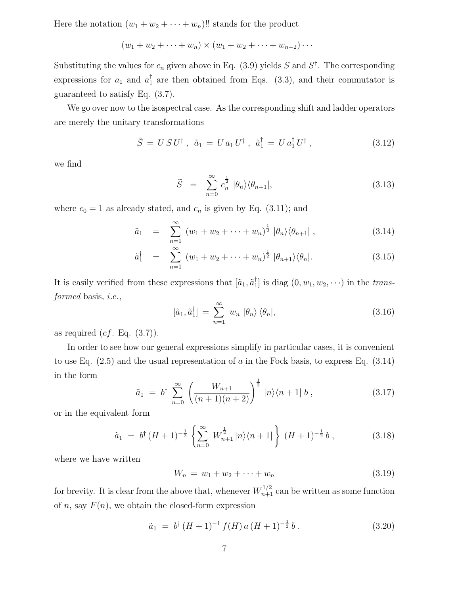Here the notation  $(w_1 + w_2 + \cdots + w_n)$ !! stands for the product

$$
(w_1 + w_2 + \dots + w_n) \times (w_1 + w_2 + \dots + w_{n-2}) \dots
$$

Substituting the values for  $c_n$  given above in Eq. (3.9) yields S and  $S^{\dagger}$ . The corresponding expressions for  $a_1$  and  $a_1^{\dagger}$  are then obtained from Eqs. (3.3), and their commutator is guaranteed to satisfy Eq. (3.7).

We go over now to the isospectral case. As the corresponding shift and ladder operators are merely the unitary transformations

$$
\tilde{S} = U S U^{\dagger} , \ \tilde{a}_1 = U a_1 U^{\dagger} , \ \tilde{a}_1^{\dagger} = U a_1^{\dagger} U^{\dagger} , \tag{3.12}
$$

we find

$$
\widetilde{S} = \sum_{n=0}^{\infty} c_n^{\frac{1}{2}} |\theta_n\rangle \langle \theta_{n+1}|,\tag{3.13}
$$

where  $c_0 = 1$  as already stated, and  $c_n$  is given by Eq. (3.11); and

$$
\tilde{a}_1 = \sum_{n=1}^{\infty} (w_1 + w_2 + \dots + w_n)^{\frac{1}{2}} |\theta_n\rangle \langle \theta_{n+1}|,
$$
\n(3.14)

$$
\tilde{a}_1^{\dagger} = \sum_{n=1}^{\infty} (w_1 + w_2 + \dots + w_n)^{\frac{1}{2}} |\theta_{n+1}\rangle \langle \theta_n|.
$$
 (3.15)

It is easily verified from these expressions that  $[\tilde{a}_1, \tilde{a}_1^{\dagger}]$  $_{1}^{T}$ ] is diag  $(0, w_1, w_2, \cdots)$  in the *trans*formed basis, *i.e.*,

$$
[\tilde{a}_1, \tilde{a}_1^\dagger] = \sum_{n=1}^\infty w_n \, |\theta_n\rangle \, \langle \theta_n|,\tag{3.16}
$$

as required  $(cf. Eq. (3.7)).$ 

In order to see how our general expressions simplify in particular cases, it is convenient to use Eq.  $(2.5)$  and the usual representation of a in the Fock basis, to express Eq.  $(3.14)$ in the form

$$
\tilde{a}_1 = b^{\dagger} \sum_{n=0}^{\infty} \left( \frac{W_{n+1}}{(n+1)(n+2)} \right)^{\frac{1}{2}} |n\rangle \langle n+1| b , \qquad (3.17)
$$

or in the equivalent form

$$
\tilde{a}_1 = b^{\dagger} (H+1)^{-\frac{1}{2}} \left\{ \sum_{n=0}^{\infty} W_{n+1}^{\frac{1}{2}} |n\rangle \langle n+1| \right\} (H+1)^{-\frac{1}{2}} b , \qquad (3.18)
$$

where we have written

$$
W_n = w_1 + w_2 + \dots + w_n \tag{3.19}
$$

for brevity. It is clear from the above that, whenever  $W_{n+1}^{1/2}$  can be written as some function of *n*, say  $F(n)$ , we obtain the closed-form expression

$$
\tilde{a}_1 = b^{\dagger} (H+1)^{-1} f(H) a (H+1)^{-\frac{1}{2}} b . \tag{3.20}
$$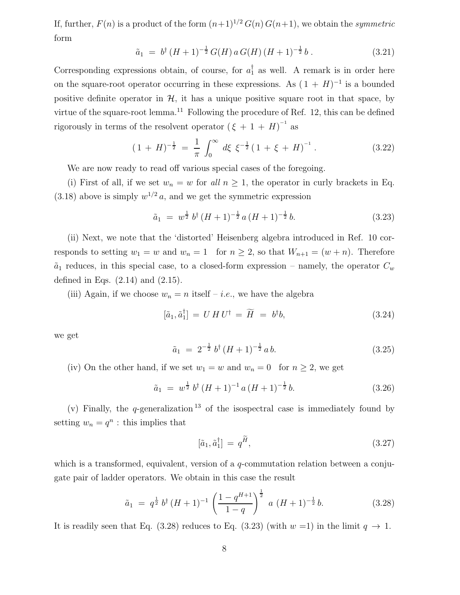If, further,  $F(n)$  is a product of the form  $(n+1)^{1/2} G(n) G(n+1)$ , we obtain the symmetric form

$$
\tilde{a}_1 = b^{\dagger} (H+1)^{-\frac{1}{2}} G(H) a G(H) (H+1)^{-\frac{1}{2}} b . \qquad (3.21)
$$

Corresponding expressions obtain, of course, for  $a_1^{\dagger}$  as well. A remark is in order here on the square-root operator occurring in these expressions. As  $(1 + H)^{-1}$  is a bounded positive definite operator in  $H$ , it has a unique positive square root in that space, by virtue of the square-root lemma.<sup>11</sup> Following the procedure of Ref. 12, this can be defined rigorously in terms of the resolvent operator  $(\xi + 1 + H)^{-1}$  as

$$
(1 + H)^{-\frac{1}{2}} = \frac{1}{\pi} \int_0^\infty d\xi \xi^{-\frac{1}{2}} (1 + \xi + H)^{-1} . \tag{3.22}
$$

We are now ready to read off various special cases of the foregoing.

(i) First of all, if we set  $w_n = w$  for all  $n \geq 1$ , the operator in curly brackets in Eq.  $(3.18)$  above is simply  $w^{1/2} a$ , and we get the symmetric expression

$$
\tilde{a}_1 = w^{\frac{1}{2}} b^{\dagger} (H+1)^{-\frac{1}{2}} a (H+1)^{-\frac{1}{2}} b. \tag{3.23}
$$

(ii) Next, we note that the 'distorted' Heisenberg algebra introduced in Ref. 10 corresponds to setting  $w_1 = w$  and  $w_n = 1$  for  $n \geq 2$ , so that  $W_{n+1} = (w + n)$ . Therefore  $\tilde{a}_1$  reduces, in this special case, to a closed-form expression – namely, the operator  $C_w$ defined in Eqs.  $(2.14)$  and  $(2.15)$ .

(iii) Again, if we choose  $w_n = n$  itself – *i.e.*, we have the algebra

$$
[\tilde{a}_1, \tilde{a}_1^{\dagger}] = U H U^{\dagger} = \widetilde{H} = b^{\dagger} b, \tag{3.24}
$$

we get

$$
\tilde{a}_1 = 2^{-\frac{1}{2}} b^{\dagger} (H+1)^{-\frac{1}{2}} a b. \tag{3.25}
$$

(iv) On the other hand, if we set  $w_1 = w$  and  $w_n = 0$  for  $n \ge 2$ , we get

$$
\tilde{a}_1 = w^{\frac{1}{2}} b^{\dagger} (H+1)^{-1} a (H+1)^{-\frac{1}{2}} b. \tag{3.26}
$$

(v) Finally, the q-generalization  $13$  of the isospectral case is immediately found by setting  $w_n = q^n$ : this implies that

$$
[\tilde{a}_1, \tilde{a}_1^{\dagger}] = q^{\tilde{H}}, \tag{3.27}
$$

which is a transformed, equivalent, version of a *q*-commutation relation between a conjugate pair of ladder operators. We obtain in this case the result

$$
\tilde{a}_1 = q^{\frac{1}{2}} b^{\dagger} (H+1)^{-1} \left( \frac{1-q^{H+1}}{1-q} \right)^{\frac{1}{2}} a (H+1)^{-\frac{1}{2}} b. \tag{3.28}
$$

It is readily seen that Eq. (3.28) reduces to Eq. (3.23) (with  $w = 1$ ) in the limit  $q \to 1$ .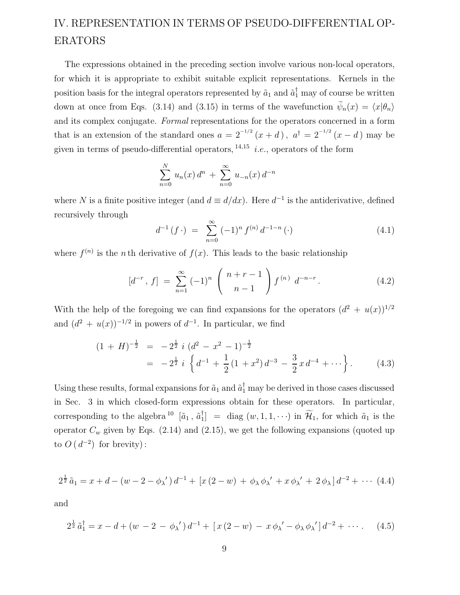## IV. REPRESENTATION IN TERMS OF PSEUDO-DIFFERENTIAL OP-ERATORS

The expressions obtained in the preceding section involve various non-local operators, for which it is appropriate to exhibit suitable explicit representations. Kernels in the position basis for the integral operators represented by  $\tilde{a}_1$  and  $\tilde{a}_1^{\dagger}$  may of course be written down at once from Eqs. (3.14) and (3.15) in terms of the wavefunction  $\widetilde{\psi}_n(x) = \langle x|\theta_n\rangle$ and its complex conjugate. Formal representations for the operators concerned in a form that is an extension of the standard ones  $a = 2^{-1/2} (x + d)$ ,  $a^{\dagger} = 2^{-1/2} (x - d)$  may be given in terms of pseudo-differential operators,  $^{14,15}$  *i.e.*, operators of the form

$$
\sum_{n=0}^{N} u_n(x) d^n + \sum_{n=0}^{\infty} u_{-n}(x) d^{-n}
$$

where N is a finite positive integer (and  $d \equiv d/dx$ ). Here  $d^{-1}$  is the antiderivative, defined recursively through

$$
d^{-1}(f \cdot) = \sum_{n=0}^{\infty} (-1)^n f^{(n)} d^{-1-n} (\cdot)
$$
 (4.1)

where  $f^{(n)}$  is the *n*th derivative of  $f(x)$ . This leads to the basic relationship

$$
[d^{-r}, f] = \sum_{n=1}^{\infty} (-1)^n \binom{n+r-1}{n-1} f^{(n)} d^{-n-r}.
$$
 (4.2)

With the help of the foregoing we can find expansions for the operators  $(d^2 + u(x))^{1/2}$ and  $(d^2 + u(x))^{-1/2}$  in powers of  $d^{-1}$ . In particular, we find

$$
(1 + H)^{-\frac{1}{2}} = -2^{\frac{1}{2}} i (d^2 - x^2 - 1)^{-\frac{1}{2}}
$$
  
= 
$$
-2^{\frac{1}{2}} i \left\{ d^{-1} + \frac{1}{2} (1 + x^2) d^{-3} - \frac{3}{2} x d^{-4} + \cdots \right\}.
$$
 (4.3)

Using these results, formal expansions for  $\tilde{a}_1$  and  $\tilde{a}_1^{\dagger}$  may be derived in those cases discussed in Sec. 3 in which closed-form expressions obtain for these operators. In particular, corresponding to the algebra  $^{10}$  [ $\tilde{a}_1$ ,  $\tilde{a}_1^{\dagger}$  $\begin{bmatrix} 1 \end{bmatrix}$  = diag  $(w, 1, 1, \cdots)$  in  $\mathcal{H}_1$ , for which  $\tilde{a}_1$  is the operator  $C_w$  given by Eqs. (2.14) and (2.15), we get the following expansions (quoted up to  $O(d^{-2})$  for brevity):

$$
2^{\frac{1}{2}}\tilde{a}_1 = x + d - (w - 2 - \phi_\lambda') d^{-1} + [x (2 - w) + \phi_\lambda \phi_\lambda' + x \phi_\lambda' + 2 \phi_\lambda] d^{-2} + \cdots (4.4)
$$

and

$$
2^{\frac{1}{2}} \tilde{a}_1^{\dagger} = x - d + (w - 2 - \phi_\lambda') d^{-1} + [x (2 - w) - x \phi_\lambda' - \phi_\lambda \phi_\lambda'] d^{-2} + \cdots. \tag{4.5}
$$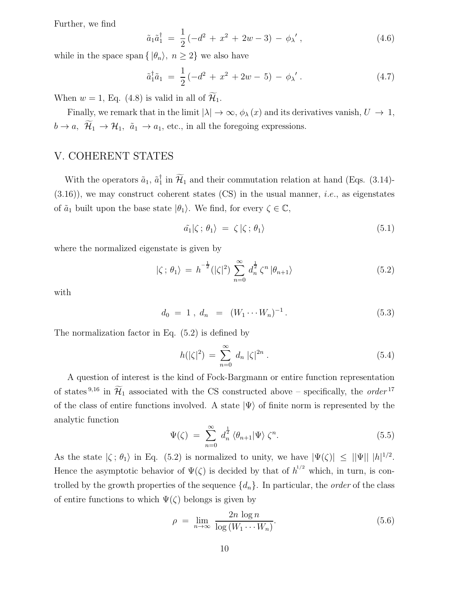Further, we find

$$
\tilde{a}_1 \tilde{a}_1^{\dagger} = \frac{1}{2} (-d^2 + x^2 + 2w - 3) - \phi_{\lambda}^{\prime}, \qquad (4.6)
$$

while in the space span { $|\theta_n\rangle$ ,  $n \geq 2$ } we also have

$$
\tilde{a}_1^{\dagger} \tilde{a}_1 = \frac{1}{2} \left( -d^2 + x^2 + 2w - 5 \right) - \phi_{\lambda}^{\prime} \,. \tag{4.7}
$$

When  $w = 1$ , Eq. (4.8) is valid in all of  $\widetilde{\mathcal{H}}_1$ .

Finally, we remark that in the limit  $|\lambda| \to \infty$ ,  $\phi_{\lambda}(x)$  and its derivatives vanish,  $U \to 1$ ,  $b \to a$ ,  $\widetilde{\mathcal{H}}_1 \to \mathcal{H}_1$ ,  $\tilde{a}_1 \to a_1$ , etc., in all the foregoing expressions.

### V. COHERENT STATES

With the operators  $\tilde{a}_1$ ,  $\tilde{a}_1^{\dagger}$  $I_1$  in  $\mathcal{H}_1$  and their commutation relation at hand (Eqs. (3.14)- $(3.16)$ , we may construct coherent states  $(CS)$  in the usual manner, *i.e.*, as eigenstates of  $\tilde{a}_1$  built upon the base state  $|\theta_1\rangle$ . We find, for every  $\zeta \in \mathbb{C}$ ,

$$
\tilde{a_1}|\zeta; \theta_1\rangle = \zeta|\zeta; \theta_1\rangle \tag{5.1}
$$

where the normalized eigenstate is given by

$$
|\zeta; \theta_1\rangle = h^{-\frac{1}{2}}(|\zeta|^2) \sum_{n=0}^{\infty} d_n^{\frac{1}{2}} \zeta^n | \theta_{n+1}\rangle
$$
 (5.2)

with

$$
d_0 = 1, d_n = (W_1 \cdots W_n)^{-1}.
$$
 (5.3)

The normalization factor in Eq. (5.2) is defined by

$$
h(|\zeta|^2) = \sum_{n=0}^{\infty} d_n |\zeta|^{2n} . \tag{5.4}
$$

A question of interest is the kind of Fock-Bargmann or entire function representation of states <sup>9,16</sup> in  $\widetilde{\mathcal{H}}_1$  associated with the CS constructed above – specifically, the *order*<sup>17</sup> of the class of entire functions involved. A state  $|\Psi\rangle$  of finite norm is represented by the analytic function

$$
\Psi(\zeta) = \sum_{n=0}^{\infty} d_n^{\frac{1}{2}} \langle \theta_{n+1} | \Psi \rangle \zeta^n.
$$
\n(5.5)

As the state  $|\zeta; \theta_1\rangle$  in Eq. (5.2) is normalized to unity, we have  $|\Psi(\zeta)| \leq ||\Psi|| |h|^{1/2}$ . Hence the asymptotic behavior of  $\Psi(\zeta)$  is decided by that of  $h^{1/2}$  which, in turn, is controlled by the growth properties of the sequence  $\{d_n\}$ . In particular, the *order* of the class of entire functions to which  $\Psi(\zeta)$  belongs is given by

$$
\rho = \lim_{n \to \infty} \frac{2n \log n}{\log (W_1 \cdots W_n)}.
$$
\n(5.6)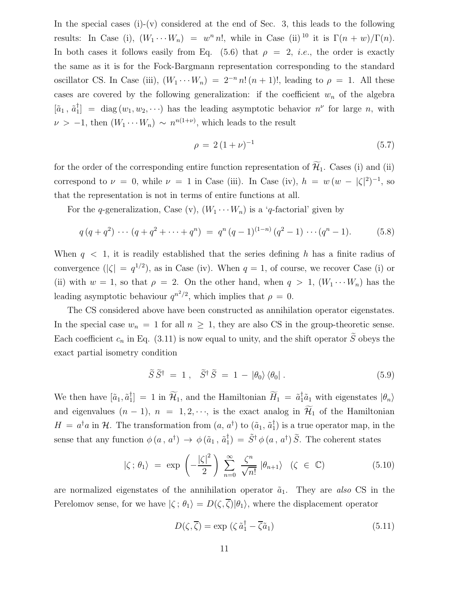In the special cases  $(i)-(v)$  considered at the end of Sec. 3, this leads to the following results: In Case (i),  $(W_1 \cdots W_n) = w^n n!$ , while in Case (ii) <sup>10</sup> it is  $\Gamma(n+w)/\Gamma(n)$ . In both cases it follows easily from Eq. (5.6) that  $\rho = 2$ , *i.e.*, the order is exactly the same as it is for the Fock-Bargmann representation corresponding to the standard oscillator CS. In Case (iii),  $(W_1 \cdots W_n) = 2^{-n} n! (n+1)!$ , leading to  $\rho = 1$ . All these cases are covered by the following generalization: if the coefficient  $w_n$  of the algebra  $[\tilde{a}_1, \, \tilde{a}_1^\dagger$  $\begin{bmatrix} \n\end{bmatrix}$  = diag  $(w_1, w_2, \dots)$  has the leading asymptotic behavior  $n^{\nu}$  for large *n*, with  $\nu > -1$ , then  $(W_1 \cdots W_n) \sim n^{n(1+\nu)}$ , which leads to the result

$$
\rho = 2(1+\nu)^{-1} \tag{5.7}
$$

for the order of the corresponding entire function representation of  $\widetilde{\mathcal{H}}_1$ . Cases (i) and (ii) correspond to  $\nu = 0$ , while  $\nu = 1$  in Case (iii). In Case (iv),  $h = w(w - |\zeta|^2)^{-1}$ , so that the representation is not in terms of entire functions at all.

For the q-generalization, Case (v),  $(W_1 \cdots W_n)$  is a 'q-factorial' given by

$$
q(q+q^2)\cdots(q+q^2+\cdots+q^n) = q^n(q-1)^{(1-n)}(q^2-1)\cdots(q^n-1). \hspace{1cm} (5.8)
$$

When  $q \leq 1$ , it is readily established that the series defining h has a finite radius of convergence  $(|\zeta| = q^{1/2})$ , as in Case (iv). When  $q = 1$ , of course, we recover Case (i) or (ii) with  $w = 1$ , so that  $\rho = 2$ . On the other hand, when  $q > 1$ ,  $(W_1 \cdots W_n)$  has the leading asymptotic behaviour  $q^{n^2/2}$ , which implies that  $\rho = 0$ .

The CS considered above have been constructed as annihilation operator eigenstates. In the special case  $w_n = 1$  for all  $n \geq 1$ , they are also CS in the group-theoretic sense. Each coefficient  $c_n$  in Eq. (3.11) is now equal to unity, and the shift operator  $\tilde{S}$  obeys the exact partial isometry condition

$$
\widetilde{S}\,\widetilde{S}^{\dagger} = 1\,,\quad \widetilde{S}^{\dagger}\,\widetilde{S} = 1 - |\theta_0\rangle\,\langle\theta_0|\,.
$$
\n(5.9)

We then have  $[\tilde{a}_1, \tilde{a}_1^{\dagger}]$  $\tilde{H}_1$  = 1 in  $\widetilde{\mathcal{H}}_1$ , and the Hamiltonian  $\widetilde{H}_1 = \tilde{a}_1^{\dagger} \tilde{a}_1$  with eigenstates  $|\theta_n\rangle$ and eigenvalues  $(n - 1)$ ,  $n = 1, 2, \dots$ , is the exact analog in  $\widetilde{\mathcal{H}}_1$  of the Hamiltonian  $H = a^{\dagger} a$  in  $H$ . The transformation from  $(a, a^{\dagger})$  to  $(\tilde{a}_1, \tilde{a}_1^{\dagger})$ 1 ) is a true operator map, in the sense that any function  $\phi(a, a^{\dagger}) \rightarrow \phi(\tilde{a}_1, \tilde{a}_1^{\dagger})$  $\tilde{S}_1^{\dagger}$  =  $\tilde{S}^{\dagger} \phi (a, a^{\dagger}) \tilde{S}$ . The coherent states

$$
|\zeta; \theta_1\rangle = \exp\left(-\frac{|\zeta|^2}{2}\right) \sum_{n=0}^{\infty} \frac{\zeta^n}{\sqrt{n!}} |\theta_{n+1}\rangle \quad (\zeta \in \mathbb{C})
$$
 (5.10)

are normalized eigenstates of the annihilation operator  $\tilde{a}_1$ . They are also CS in the Perelomov sense, for we have  $|\zeta; \theta_1\rangle = D(\zeta, \overline{\zeta})|\theta_1\rangle$ , where the displacement operator

$$
D(\zeta, \overline{\zeta}) = \exp\left(\zeta \, \tilde{a}_1^\dagger - \overline{\zeta} \tilde{a}_1\right) \tag{5.11}
$$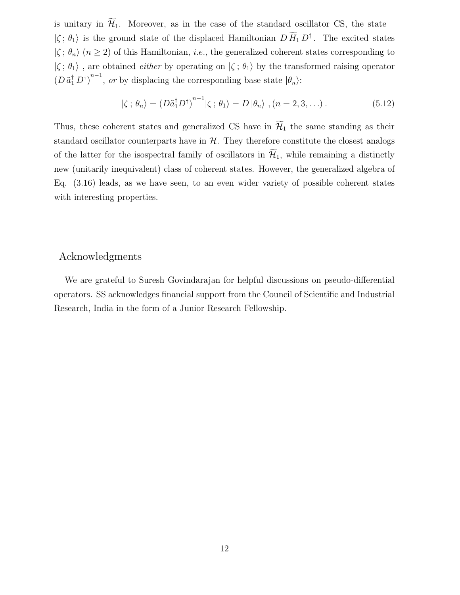is unitary in  $\widetilde{\mathcal{H}}_1$ . Moreover, as in the case of the standard oscillator CS, the state  $|\zeta; \theta_1\rangle$  is the ground state of the displaced Hamiltonian  $D \tilde{H}_1 D^{\dagger}$ . The excited states  $|\zeta; \theta_n\rangle$   $(n \geq 2)$  of this Hamiltonian, *i.e.*, the generalized coherent states corresponding to  $|\zeta; \theta_1\rangle$ , are obtained *either* by operating on  $|\zeta; \theta_1\rangle$  by the transformed raising operator  $(D \tilde{a}_1^{\dagger} D^{\dagger})^{n-1}$ , or by displacing the corresponding base state  $|\theta_n\rangle$ :

$$
|\zeta; \theta_n\rangle = \left(D\tilde{a}_1^{\dagger} D^{\dagger}\right)^{n-1} |\zeta; \theta_1\rangle = D |\theta_n\rangle , (n = 2, 3, \ldots). \tag{5.12}
$$

Thus, these coherent states and generalized CS have in  $\widetilde{\mathcal{H}}_1$  the same standing as their standard oscillator counterparts have in  $H$ . They therefore constitute the closest analogs of the latter for the isospectral family of oscillators in  $\widetilde{\mathcal{H}}_1$ , while remaining a distinctly new (unitarily inequivalent) class of coherent states. However, the generalized algebra of Eq. (3.16) leads, as we have seen, to an even wider variety of possible coherent states with interesting properties.

#### Acknowledgments

We are grateful to Suresh Govindarajan for helpful discussions on pseudo-differential operators. SS acknowledges financial support from the Council of Scientific and Industrial Research, India in the form of a Junior Research Fellowship.